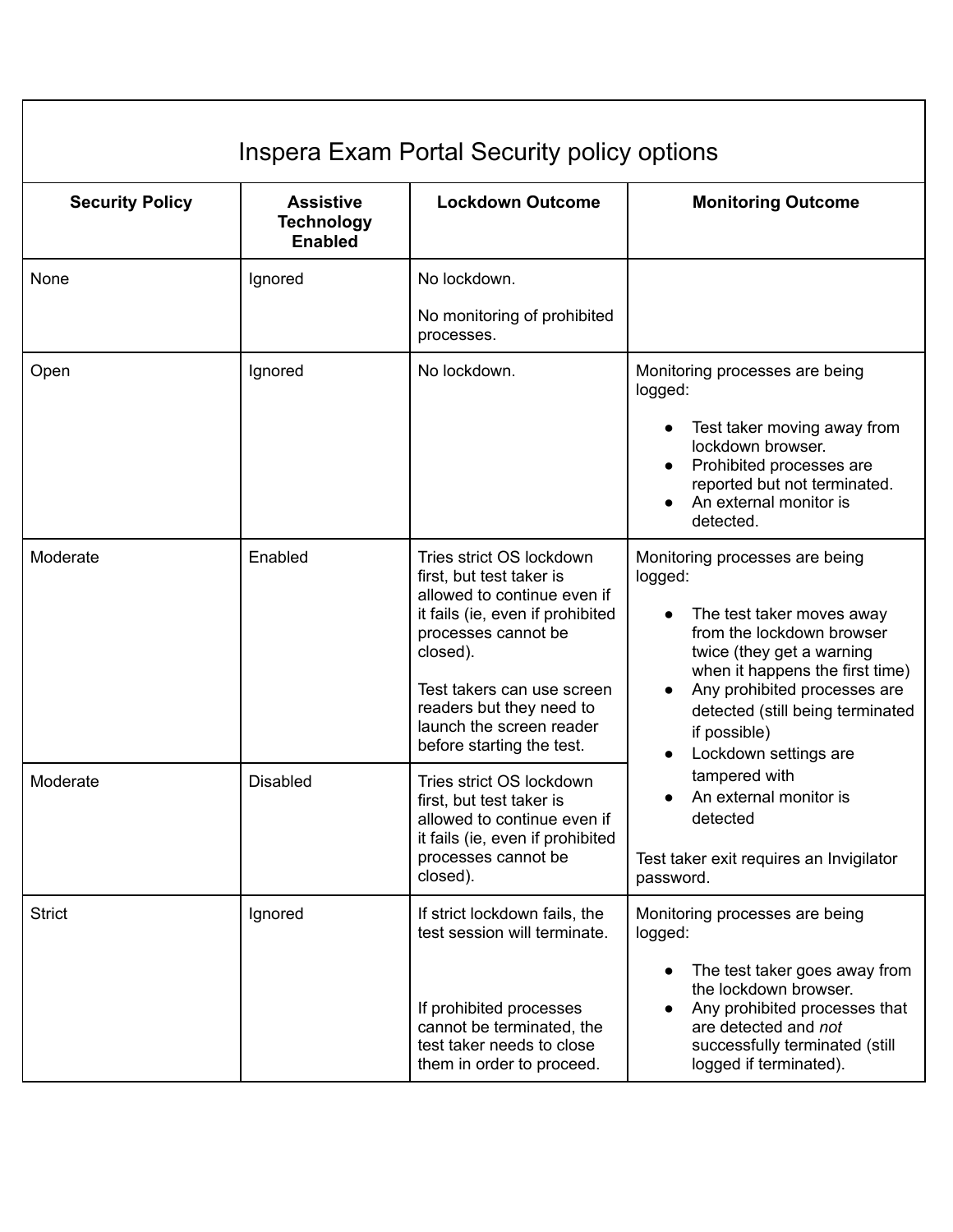| Inspera Exam Portal Security policy options |                                                         |                                                                                                                                                                                                                                                                               |                                                                                                                                                                                                                                                                                                                                                                                                                           |
|---------------------------------------------|---------------------------------------------------------|-------------------------------------------------------------------------------------------------------------------------------------------------------------------------------------------------------------------------------------------------------------------------------|---------------------------------------------------------------------------------------------------------------------------------------------------------------------------------------------------------------------------------------------------------------------------------------------------------------------------------------------------------------------------------------------------------------------------|
| <b>Security Policy</b>                      | <b>Assistive</b><br><b>Technology</b><br><b>Enabled</b> | <b>Lockdown Outcome</b>                                                                                                                                                                                                                                                       | <b>Monitoring Outcome</b>                                                                                                                                                                                                                                                                                                                                                                                                 |
| None                                        | Ignored                                                 | No lockdown.                                                                                                                                                                                                                                                                  |                                                                                                                                                                                                                                                                                                                                                                                                                           |
|                                             |                                                         | No monitoring of prohibited<br>processes.                                                                                                                                                                                                                                     |                                                                                                                                                                                                                                                                                                                                                                                                                           |
| Open                                        | Ignored                                                 | No lockdown.                                                                                                                                                                                                                                                                  | Monitoring processes are being<br>logged:                                                                                                                                                                                                                                                                                                                                                                                 |
|                                             |                                                         |                                                                                                                                                                                                                                                                               | Test taker moving away from<br>$\bullet$<br>lockdown browser.<br>Prohibited processes are<br>$\bullet$<br>reported but not terminated.<br>An external monitor is<br>detected.                                                                                                                                                                                                                                             |
| Moderate                                    | Enabled                                                 | Tries strict OS lockdown<br>first, but test taker is<br>allowed to continue even if<br>it fails (ie, even if prohibited<br>processes cannot be<br>closed).<br>Test takers can use screen<br>readers but they need to<br>launch the screen reader<br>before starting the test. | Monitoring processes are being<br>logged:<br>The test taker moves away<br>$\bullet$<br>from the lockdown browser<br>twice (they get a warning<br>when it happens the first time)<br>Any prohibited processes are<br>detected (still being terminated<br>if possible)<br>Lockdown settings are<br>$\bullet$<br>tampered with<br>An external monitor is<br>detected<br>Test taker exit requires an Invigilator<br>password. |
| Moderate                                    | <b>Disabled</b>                                         | Tries strict OS lockdown<br>first, but test taker is<br>allowed to continue even if<br>it fails (ie, even if prohibited<br>processes cannot be<br>closed).                                                                                                                    |                                                                                                                                                                                                                                                                                                                                                                                                                           |
| <b>Strict</b>                               | Ignored                                                 | If strict lockdown fails, the<br>test session will terminate.                                                                                                                                                                                                                 | Monitoring processes are being<br>logged:                                                                                                                                                                                                                                                                                                                                                                                 |
|                                             |                                                         | If prohibited processes<br>cannot be terminated, the<br>test taker needs to close<br>them in order to proceed.                                                                                                                                                                | The test taker goes away from<br>$\bullet$<br>the lockdown browser.<br>Any prohibited processes that<br>are detected and not<br>successfully terminated (still<br>logged if terminated).                                                                                                                                                                                                                                  |